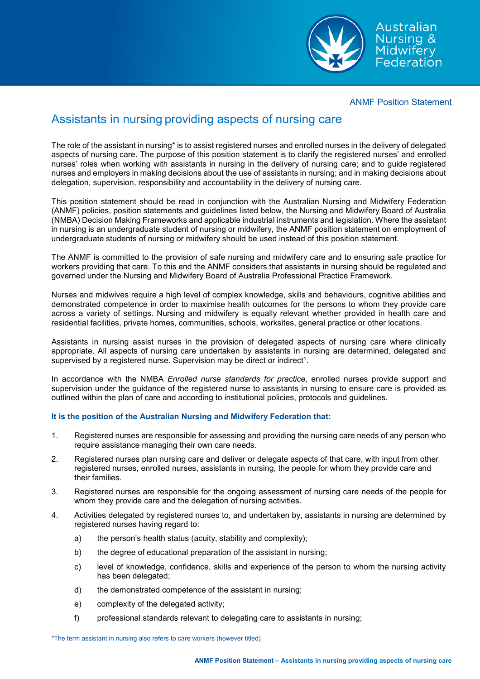

#### ANMF Position Statement

# Assistants in nursing providing aspects of nursing care

The role of the assistant in nursing\* is to assist registered nurses and enrolled nurses in the delivery of delegated aspects of nursing care. The purpose of this position statement is to clarify the registered nurses' and enrolled nurses' roles when working with assistants in nursing in the delivery of nursing care; and to guide registered nurses and employers in making decisions about the use of assistants in nursing; and in making decisions about delegation, supervision, responsibility and accountability in the delivery of nursing care.

This position statement should be read in conjunction with the Australian Nursing and Midwifery Federation (ANMF) policies, position statements and guidelines listed below, the Nursing and Midwifery Board of Australia (NMBA) Decision Making Frameworks and applicable industrial instruments and legislation. Where the assistant in nursing is an undergraduate student of nursing or midwifery, the ANMF position statement on employment of undergraduate students of nursing or midwifery should be used instead of this position statement.

The ANMF is committed to the provision of safe nursing and midwifery care and to ensuring safe practice for workers providing that care. To this end the ANMF considers that assistants in nursing should be regulated and governed under the Nursing and Midwifery Board of Australia Professional Practice Framework.

Nurses and midwives require a high level of complex knowledge, skills and behaviours, cognitive abilities and demonstrated competence in order to maximise health outcomes for the persons to whom they provide care across a variety of settings. Nursing and midwifery is equally relevant whether provided in health care and residential facilities, private homes, communities, schools, worksites, general practice or other locations.

Assistants in nursing assist nurses in the provision of delegated aspects of nursing care where clinically appropriate. All aspects of nursing care undertaken by assistants in nursing are determined, delegated and supervised by a registered nurse. Supervision may be direct or indirect<sup>1</sup>.

In accordance with the NMBA *Enrolled nurse standards for practice*, enrolled nurses provide support and supervision under the guidance of the registered nurse to assistants in nursing to ensure care is provided as outlined within the plan of care and according to institutional policies, protocols and guidelines.

## **It is the position of the Australian Nursing and Midwifery Federation that:**

- 1. Registered nurses are responsible for assessing and providing the nursing care needs of any person who require assistance managing their own care needs.
- 2. Registered nurses plan nursing care and deliver or delegate aspects of that care, with input from other registered nurses, enrolled nurses, assistants in nursing, the people for whom they provide care and their families.
- 3. Registered nurses are responsible for the ongoing assessment of nursing care needs of the people for whom they provide care and the delegation of nursing activities.
- 4. Activities delegated by registered nurses to, and undertaken by, assistants in nursing are determined by registered nurses having regard to:
	- a) the person's health status (acuity, stability and complexity);
	- b) the degree of educational preparation of the assistant in nursing:
	- c) level of knowledge, confidence, skills and experience of the person to whom the nursing activity has been delegated;
	- d) the demonstrated competence of the assistant in nursing;
	- e) complexity of the delegated activity;
	- f) professional standards relevant to delegating care to assistants in nursing;

\*The term assistant in nursing also refers to care workers (however titled)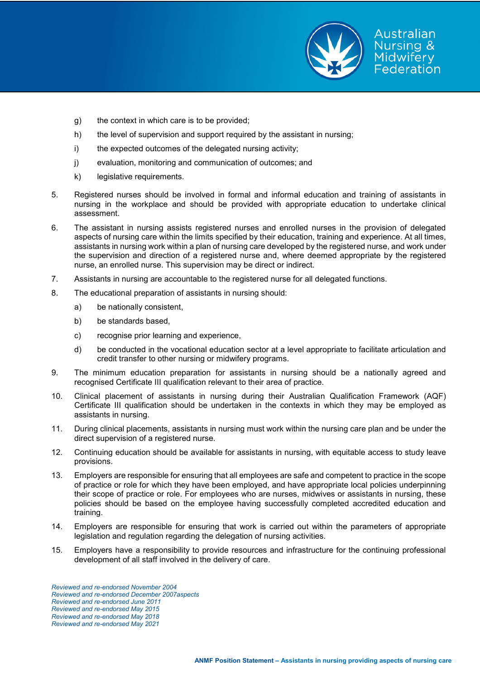

Australian **Nursing & Midwifery** Federation

- h) the level of supervision and support required by the assistant in nursing;
- i) the expected outcomes of the delegated nursing activity;
- j) evaluation, monitoring and communication of outcomes; and
- k) legislative requirements.
- 5. Registered nurses should be involved in formal and informal education and training of assistants in nursing in the workplace and should be provided with appropriate education to undertake clinical assessment.
- 6. The assistant in nursing assists registered nurses and enrolled nurses in the provision of delegated aspects of nursing care within the limits specified by their education, training and experience. At all times, assistants in nursing work within a plan of nursing care developed by the registered nurse, and work under the supervision and direction of a registered nurse and, where deemed appropriate by the registered nurse, an enrolled nurse. This supervision may be direct or indirect.
- 7. Assistants in nursing are accountable to the registered nurse for all delegated functions.
- 8. The educational preparation of assistants in nursing should:
	- a) be nationally consistent,
	- b) be standards based,
	- c) recognise prior learning and experience,
	- d) be conducted in the vocational education sector at a level appropriate to facilitate articulation and credit transfer to other nursing or midwifery programs.
- 9. The minimum education preparation for assistants in nursing should be a nationally agreed and recognised Certificate III qualification relevant to their area of practice.
- 10. Clinical placement of assistants in nursing during their Australian Qualification Framework (AQF) Certificate III qualification should be undertaken in the contexts in which they may be employed as assistants in nursing.
- 11. During clinical placements, assistants in nursing must work within the nursing care plan and be under the direct supervision of a registered nurse.
- 12. Continuing education should be available for assistants in nursing, with equitable access to study leave provisions.
- 13. Employers are responsible for ensuring that all employees are safe and competent to practice in the scope of practice or role for which they have been employed, and have appropriate local policies underpinning their scope of practice or role. For employees who are nurses, midwives or assistants in nursing, these policies should be based on the employee having successfully completed accredited education and training.
- 14. Employers are responsible for ensuring that work is carried out within the parameters of appropriate legislation and regulation regarding the delegation of nursing activities.
- 15. Employers have a responsibility to provide resources and infrastructure for the continuing professional development of all staff involved in the delivery of care.

*Reviewed and re-endorsed November 2004 Reviewed and re-endorsed December 2007aspects Reviewed and re-endorsed June 2011 Reviewed and re-endorsed May 2015 Reviewed and re-endorsed May 2018 Reviewed and re-endorsed May 2021*